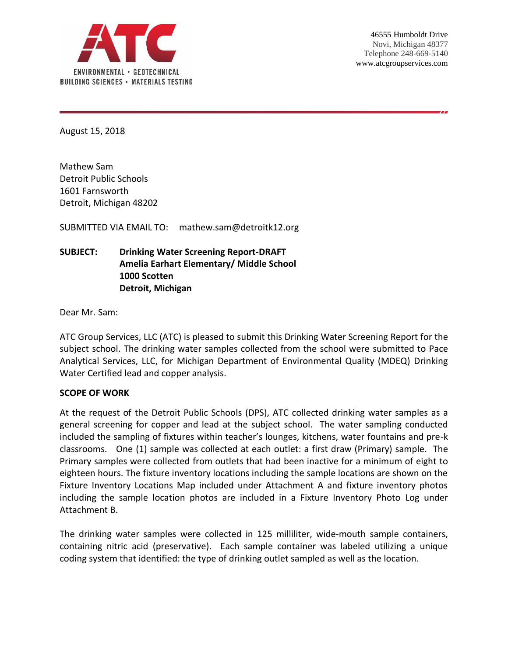

August 15, 2018

Mathew Sam Detroit Public Schools 1601 Farnsworth Detroit, Michigan 48202

SUBMITTED VIA EMAIL TO: mathew.sam@detroitk12.org

# **SUBJECT: Drinking Water Screening Report-DRAFT Amelia Earhart Elementary/ Middle School 1000 Scotten Detroit, Michigan**

Dear Mr. Sam:

ATC Group Services, LLC (ATC) is pleased to submit this Drinking Water Screening Report for the subject school. The drinking water samples collected from the school were submitted to Pace Analytical Services, LLC, for Michigan Department of Environmental Quality (MDEQ) Drinking Water Certified lead and copper analysis.

#### **SCOPE OF WORK**

At the request of the Detroit Public Schools (DPS), ATC collected drinking water samples as a general screening for copper and lead at the subject school. The water sampling conducted included the sampling of fixtures within teacher's lounges, kitchens, water fountains and pre-k classrooms. One (1) sample was collected at each outlet: a first draw (Primary) sample. The Primary samples were collected from outlets that had been inactive for a minimum of eight to eighteen hours. The fixture inventory locations including the sample locations are shown on the Fixture Inventory Locations Map included under Attachment A and fixture inventory photos including the sample location photos are included in a Fixture Inventory Photo Log under Attachment B.

The drinking water samples were collected in 125 milliliter, wide-mouth sample containers, containing nitric acid (preservative). Each sample container was labeled utilizing a unique coding system that identified: the type of drinking outlet sampled as well as the location.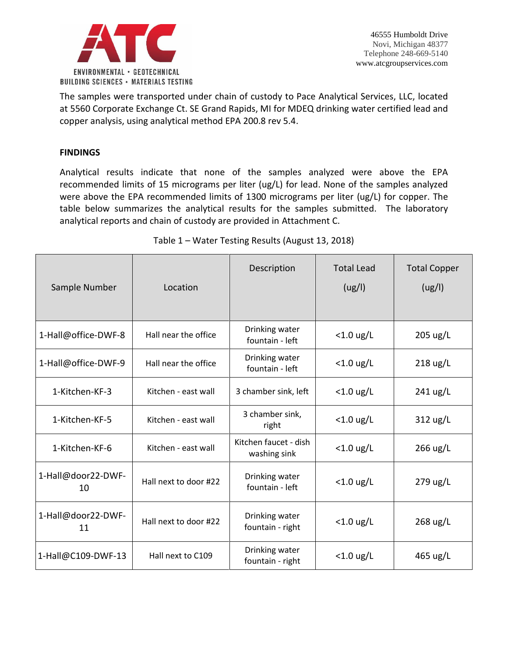

The samples were transported under chain of custody to Pace Analytical Services, LLC, located at 5560 Corporate Exchange Ct. SE Grand Rapids, MI for MDEQ drinking water certified lead and copper analysis, using analytical method EPA 200.8 rev 5.4.

### **FINDINGS**

Analytical results indicate that none of the samples analyzed were above the EPA recommended limits of 15 micrograms per liter (ug/L) for lead. None of the samples analyzed were above the EPA recommended limits of 1300 micrograms per liter (ug/L) for copper. The table below summarizes the analytical results for the samples submitted. The laboratory analytical reports and chain of custody are provided in Attachment C.

| Sample Number            | Location              | Description                           | <b>Total Lead</b><br>(ug/l) | <b>Total Copper</b><br>(ug/l) |
|--------------------------|-----------------------|---------------------------------------|-----------------------------|-------------------------------|
| 1-Hall@office-DWF-8      | Hall near the office  | Drinking water<br>fountain - left     | $<$ 1.0 ug/L                | $205 \text{ ug/L}$            |
| 1-Hall@office-DWF-9      | Hall near the office  | Drinking water<br>fountain - left     | $<$ 1.0 ug/L                | $218$ ug/L                    |
| 1-Kitchen-KF-3           | Kitchen - east wall   | 3 chamber sink, left                  | $<$ 1.0 ug/L                | 241 ug/L                      |
| 1-Kitchen-KF-5           | Kitchen - east wall   | 3 chamber sink,<br>right              | $<$ 1.0 ug/L                | $312 \text{ ug/L}$            |
| 1-Kitchen-KF-6           | Kitchen - east wall   | Kitchen faucet - dish<br>washing sink | $<$ 1.0 ug/L                | 266 ug/L                      |
| 1-Hall@door22-DWF-<br>10 | Hall next to door #22 | Drinking water<br>fountain - left     | $<$ 1.0 ug/L                | 279 ug/L                      |
| 1-Hall@door22-DWF-<br>11 | Hall next to door #22 | Drinking water<br>fountain - right    | $<$ 1.0 ug/L                | 268 ug/L                      |
| 1-Hall@C109-DWF-13       | Hall next to C109     | Drinking water<br>fountain - right    | $<$ 1.0 ug/L                | 465 ug/L                      |

Table 1 – Water Testing Results (August 13, 2018)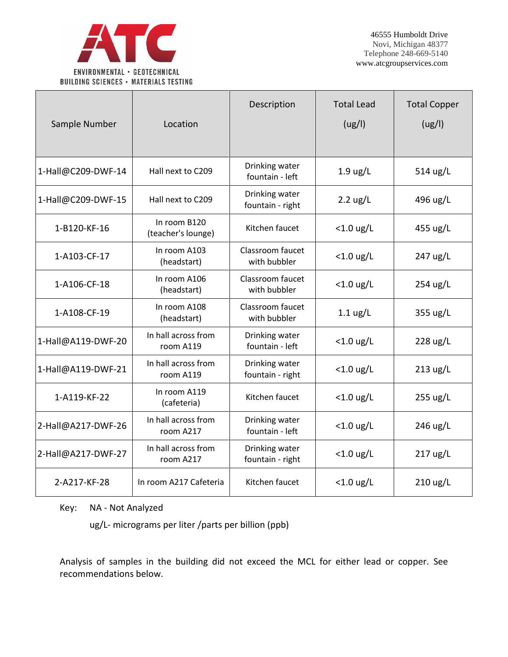

| Sample Number      | Location                           | Description                        | <b>Total Lead</b><br>(ug/l) | <b>Total Copper</b><br>(ug/l) |
|--------------------|------------------------------------|------------------------------------|-----------------------------|-------------------------------|
| 1-Hall@C209-DWF-14 | Hall next to C209                  | Drinking water<br>fountain - left  | $1.9 \text{ ug/L}$          | 514 ug/L                      |
| 1-Hall@C209-DWF-15 | Hall next to C209                  | Drinking water<br>fountain - right | $2.2 \text{ ug/L}$          | 496 ug/L                      |
| 1-B120-KF-16       | In room B120<br>(teacher's lounge) | Kitchen faucet                     | $<$ 1.0 ug/L                | 455 ug/L                      |
| 1-A103-CF-17       | In room A103<br>(headstart)        | Classroom faucet<br>with bubbler   | $<$ 1.0 ug/L                | 247 ug/L                      |
| 1-A106-CF-18       | In room A106<br>(headstart)        | Classroom faucet<br>with bubbler   | $<$ 1.0 ug/L                | $254 \text{ ug/L}$            |
| 1-A108-CF-19       | In room A108<br>(headstart)        | Classroom faucet<br>with bubbler   | $1.1 \text{ ug/L}$          | 355 ug/L                      |
| 1-Hall@A119-DWF-20 | In hall across from<br>room A119   | Drinking water<br>fountain - left  | $<$ 1.0 ug/L                | $228 \text{ ug/L}$            |
| 1-Hall@A119-DWF-21 | In hall across from<br>room A119   | Drinking water<br>fountain - right | $<$ 1.0 ug/L                | $213 \text{ ug/L}$            |
| 1-A119-KF-22       | In room A119<br>(cafeteria)        | Kitchen faucet                     | $<$ 1.0 ug/L                | $255 \text{ ug/L}$            |
| 2-Hall@A217-DWF-26 | In hall across from<br>room A217   | Drinking water<br>fountain - left  | $<$ 1.0 ug/L                | 246 ug/L                      |
| 2-Hall@A217-DWF-27 | In hall across from<br>room A217   | Drinking water<br>fountain - right | $<$ 1.0 ug/L                | $217$ ug/L                    |
| 2-A217-KF-28       | In room A217 Cafeteria             | Kitchen faucet                     | $<$ 1.0 ug/L                | $210 \text{ ug/L}$            |

Key: NA - Not Analyzed

ug/L- micrograms per liter /parts per billion (ppb)

Analysis of samples in the building did not exceed the MCL for either lead or copper. See recommendations below.